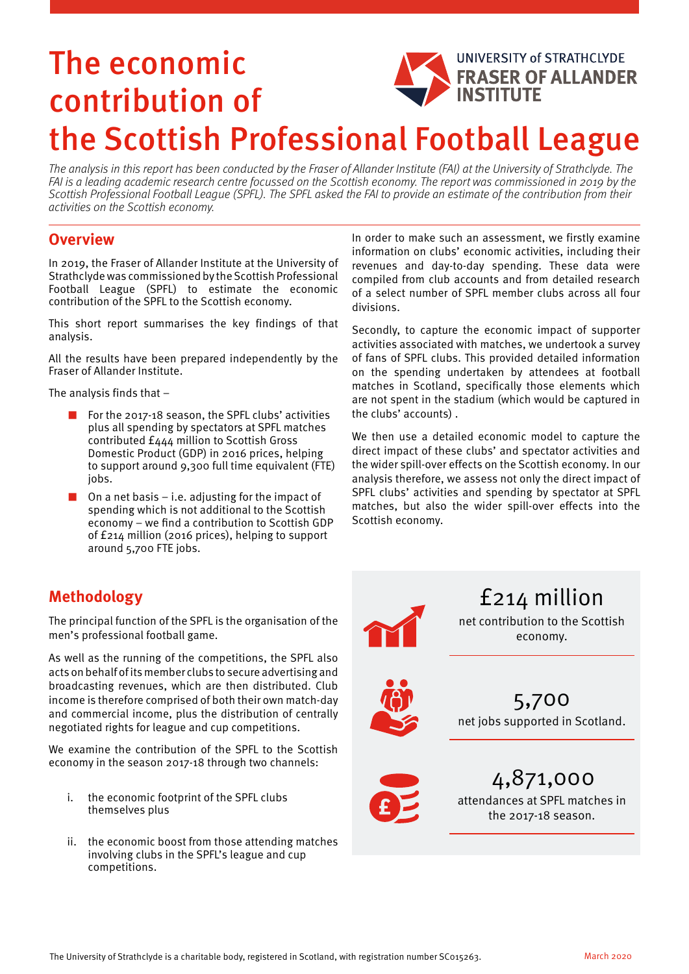## The economic **UNIVERSITY of STRATHCLYDE** FRASER OF ALLANDER contribution of the Scottish Professional Football League

The analysis in this report has been conducted by the Fraser of Allander Institute (FAI) at the University of Strathclyde. The FAI is a leading academic research centre focussed on the Scottish economy. The report was commissioned in 2019 by the Scottish Professional Football League (SPFL). The SPFL asked the FAI to provide an estimate of the contribution from their activities on the Scottish economy.

## **Overview**

In 2019, the Fraser of Allander Institute at the University of Strathclyde was commissioned by the Scottish Professional Football League (SPFL) to estimate the economic contribution of the SPFL to the Scottish economy.

This short report summarises the key findings of that analysis.

All the results have been prepared independently by the Fraser of Allander Institute.

The analysis finds that –

- For the 2017-18 season, the SPFL clubs' activities plus all spending by spectators at SPFL matches contributed £444 million to Scottish Gross Domestic Product (GDP) in 2016 prices, helping to support around 9,300 full time equivalent (FTE) jobs.
- $\blacksquare$  On a net basis i.e. adjusting for the impact of spending which is not additional to the Scottish economy – we find a contribution to Scottish GDP of £214 million (2016 prices), helping to support around 5,700 FTE jobs.

In order to make such an assessment, we firstly examine information on clubs' economic activities, including their revenues and day-to-day spending. These data were compiled from club accounts and from detailed research of a select number of SPFL member clubs across all four divisions.

Secondly, to capture the economic impact of supporter activities associated with matches, we undertook a survey of fans of SPFL clubs. This provided detailed information on the spending undertaken by attendees at football matches in Scotland, specifically those elements which are not spent in the stadium (which would be captured in the clubs' accounts) .

We then use a detailed economic model to capture the direct impact of these clubs' and spectator activities and the wider spill-over effects on the Scottish economy. In our analysis therefore, we assess not only the direct impact of SPFL clubs' activities and spending by spectator at SPFL matches, but also the wider spill-over effects into the Scottish economy.

## **Methodology**

The principal function of the SPFL is the organisation of the men's professional football game.

As well as the running of the competitions, the SPFL also acts on behalf of its member clubs to secure advertising and broadcasting revenues, which are then distributed. Club income is therefore comprised of both their own match-day and commercial income, plus the distribution of centrally negotiated rights for league and cup competitions.

We examine the contribution of the SPFL to the Scottish economy in the season 2017-18 through two channels:

- i. the economic footprint of the SPFL clubs themselves plus
- ii. the economic boost from those attending matches involving clubs in the SPFL's league and cup competitions.